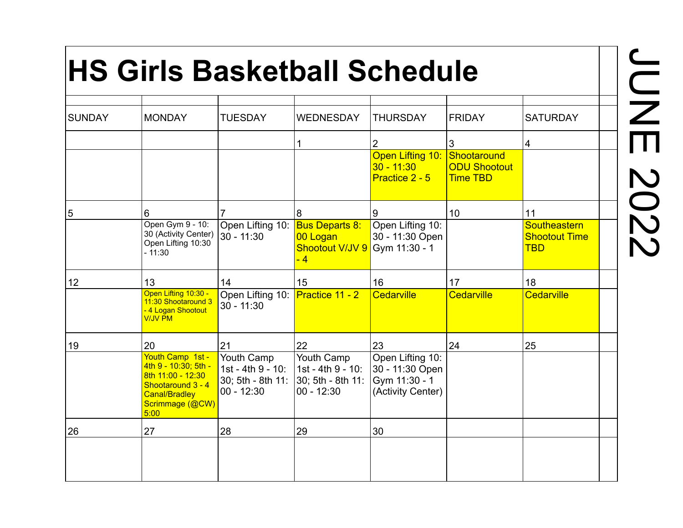## **HS Girls Basketball Schedule**

| <b>SUNDAY</b> | <b>MONDAY</b>                                                                                                                         | <b>TUESDAY</b>                                          | <b>WEDNESDAY</b>                                                                        | <b>THURSDAY</b>                                                           | <b>FRIDAY</b>                                         | <b>SATURDAY</b>                                    |  |
|---------------|---------------------------------------------------------------------------------------------------------------------------------------|---------------------------------------------------------|-----------------------------------------------------------------------------------------|---------------------------------------------------------------------------|-------------------------------------------------------|----------------------------------------------------|--|
|               |                                                                                                                                       |                                                         |                                                                                         | $\overline{2}$                                                            | $\mathbf{3}$                                          | 4                                                  |  |
|               |                                                                                                                                       |                                                         |                                                                                         | <b>Open Lifting 10:</b><br>$30 - 11:30$<br>Practice 2 - 5                 | Shootaround<br><b>ODU Shootout</b><br><b>Time TBD</b> |                                                    |  |
| 5             | 6                                                                                                                                     |                                                         | 8                                                                                       | 9                                                                         | 10                                                    | 11                                                 |  |
|               | Open Gym 9 - 10:<br>30 (Activity Center)<br>Open Lifting 10:30<br>$-11:30$                                                            | Open Lifting 10: Bus Departs 8:<br>$30 - 11:30$         | 00 Logan<br>Shootout V/JV 9<br>$-4$                                                     | Open Lifting 10:<br>30 - 11:30 Open<br>Gym 11:30 - 1                      |                                                       | Southeastern<br><b>Shootout Time</b><br><b>TBD</b> |  |
| 12            | 13                                                                                                                                    | 14                                                      | 15                                                                                      | 16                                                                        | 17                                                    | 18                                                 |  |
|               | Open Lifting 10:30 -<br>11:30 Shootaround 3<br>- 4 Logan Shootout<br><b>V/JV PM</b>                                                   | Open Lifting 10: <b>Practice 11 - 2</b><br>$30 - 11:30$ |                                                                                         | Cedarville                                                                | Cedarville                                            | Cedarville                                         |  |
| 19            | 20                                                                                                                                    | 21                                                      | 22                                                                                      | 23                                                                        | 24                                                    | 25                                                 |  |
|               | Youth Camp 1st -<br>4th 9 - 10:30; 5th -<br>8th 11:00 - 12:30<br>Shootaround 3 - 4<br><b>Canal/Bradley</b><br>Scrimmage (@CW)<br>5:00 | Youth Camp<br>1st - 4th 9 - 10:<br>$00 - 12:30$         | Youth Camp<br>1st - 4th 9 - 10:<br>30; 5th - 8th 11: $ 30;$ 5th - 8th 11:<br>00 - 12:30 | Open Lifting 10:<br>30 - 11:30 Open<br>Gym 11:30 - 1<br>(Activity Center) |                                                       |                                                    |  |
| 26            | 27                                                                                                                                    | 28                                                      | 29                                                                                      | 30                                                                        |                                                       |                                                    |  |
|               |                                                                                                                                       |                                                         |                                                                                         |                                                                           |                                                       |                                                    |  |

**NOC** JUNE 2022 $\overline{\overline{\mathsf{m}}}$ 2022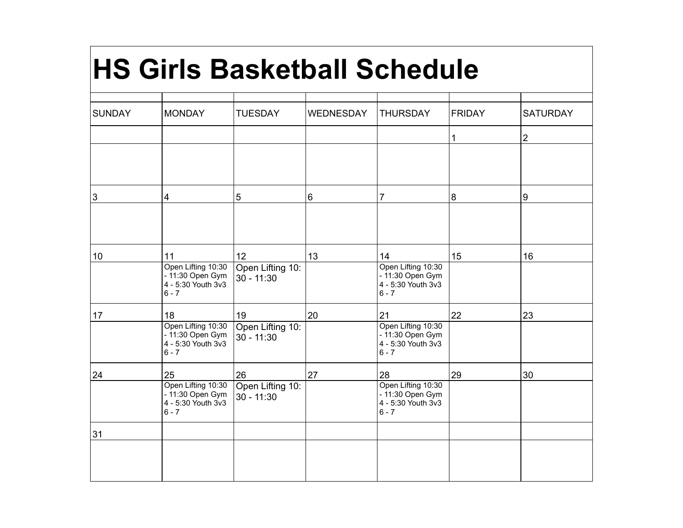## **HS Girls Basketball Schedule**

| <b>SUNDAY</b> | <b>MONDAY</b>                                                           | <b>TUESDAY</b>                   | <b>WEDNESDAY</b> | <b>THURSDAY</b>                                                         | <b>FRIDAY</b>  | <b>SATURDAY</b> |
|---------------|-------------------------------------------------------------------------|----------------------------------|------------------|-------------------------------------------------------------------------|----------------|-----------------|
|               |                                                                         |                                  |                  |                                                                         | 1              | $\overline{2}$  |
|               |                                                                         |                                  |                  |                                                                         |                |                 |
| 3             | $\vert$ 4                                                               | 5                                | $6\phantom{1}$   | $\overline{7}$                                                          | $\overline{8}$ | 9               |
|               |                                                                         |                                  |                  |                                                                         |                |                 |
| 10            | 11                                                                      | 12                               | 13               | 14                                                                      | 15             | 16              |
|               | Open Lifting 10:30<br>- 11:30 Open Gym<br>4 - 5:30 Youth 3v3<br>$6 - 7$ | Open Lifting 10:<br>$30 - 11:30$ |                  | Open Lifting 10:30<br>- 11:30 Open Gym<br>4 - 5:30 Youth 3v3<br>$6 - 7$ |                |                 |
| 17            | 18                                                                      | 19                               | 20               | 21                                                                      | 22             | 23              |
|               | Open Lifting 10:30<br>- 11:30 Open Gym<br>4 - 5:30 Youth 3v3<br>$6 - 7$ | Open Lifting 10:<br>$30 - 11:30$ |                  | Open Lifting 10:30<br>- 11:30 Open Gym<br>4 - 5:30 Youth 3v3<br>$6 - 7$ |                |                 |
| 24            | 25                                                                      | 26                               | 27               | 28                                                                      | 29             | 30              |
|               | Open Lifting 10:30<br>- 11:30 Open Gym<br>4 - 5:30 Youth 3v3<br>$6 - 7$ | Open Lifting 10:<br>$30 - 11:30$ |                  | Open Lifting 10:30<br>- 11:30 Open Gym<br>4 - 5:30 Youth 3v3<br>$6 - 7$ |                |                 |
| 31            |                                                                         |                                  |                  |                                                                         |                |                 |
|               |                                                                         |                                  |                  |                                                                         |                |                 |
|               |                                                                         |                                  |                  |                                                                         |                |                 |